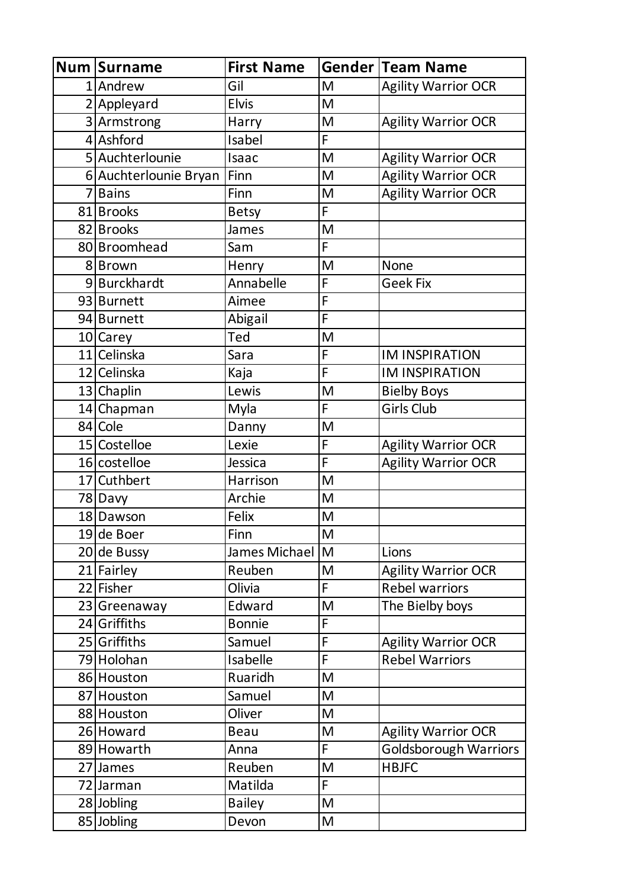| <b>Num Surname</b>      | <b>First Name</b> |   | <b>Gender Team Name</b>      |
|-------------------------|-------------------|---|------------------------------|
| 1 Andrew                | Gil               | M | <b>Agility Warrior OCR</b>   |
| 2 Appleyard             | <b>Elvis</b>      | M |                              |
| 3 Armstrong             | Harry             | M | <b>Agility Warrior OCR</b>   |
| 4 Ashford               | Isabel            | F |                              |
| 5 Auchterlounie         | Isaac             | M | <b>Agility Warrior OCR</b>   |
| 6 Auchterlounie Bryan   | Finn              | M | <b>Agility Warrior OCR</b>   |
| 7 Bains                 | Finn              | M | <b>Agility Warrior OCR</b>   |
| 81 Brooks               | <b>Betsy</b>      | F |                              |
| 82 Brooks               | James             | M |                              |
| 80 Broomhead            | Sam               | F |                              |
| 8Brown                  | Henry             | M | None                         |
| 9 Burckhardt            | Annabelle         | F | <b>Geek Fix</b>              |
| 93 Burnett              | Aimee             | F |                              |
| 94 Burnett              | Abigail           | F |                              |
| 10 Carey                | Ted               | M |                              |
| 11 Celinska             | Sara              | F | <b>IM INSPIRATION</b>        |
| 12 Celinska             | Kaja              | F | <b>IM INSPIRATION</b>        |
| 13 Chaplin              | Lewis             | M | <b>Bielby Boys</b>           |
| $\overline{1}4$ Chapman | Myla              | F | <b>Girls Club</b>            |
| 84 Cole                 | Danny             | M |                              |
| 15 Costelloe            | Lexie             | F | <b>Agility Warrior OCR</b>   |
| 16 costelloe            | Jessica           | F | <b>Agility Warrior OCR</b>   |
| 17 Cuthbert             | Harrison          | M |                              |
| 78 Davy                 | Archie            | M |                              |
| 18 Dawson               | Felix             | M |                              |
| 19 de Boer              | Finn              | M |                              |
| $20$ de Bussy           | James Michael     | M | Lions                        |
| 21 Fairley              | Reuben            | M | <b>Agility Warrior OCR</b>   |
| 22 Fisher               | Olivia            | F | <b>Rebel warriors</b>        |
| 23 Greenaway            | Edward            | M | The Bielby boys              |
| 24 Griffiths            | <b>Bonnie</b>     | F |                              |
| 25 Griffiths            | Samuel            | F | <b>Agility Warrior OCR</b>   |
| 79 Holohan              | Isabelle          | F | <b>Rebel Warriors</b>        |
| 86 Houston              | Ruaridh           | M |                              |
| 87 Houston              | Samuel            | M |                              |
| 88 Houston              | Oliver            | M |                              |
| 26 Howard               | <b>Beau</b>       | M | <b>Agility Warrior OCR</b>   |
| 89 Howarth              | Anna              | F | <b>Goldsborough Warriors</b> |
| 27 James                | Reuben            | M | <b>HBJFC</b>                 |
| 72 Jarman               | Matilda           | F |                              |
| 28 Jobling              | <b>Bailey</b>     | M |                              |
| 85 Jobling              | Devon             | M |                              |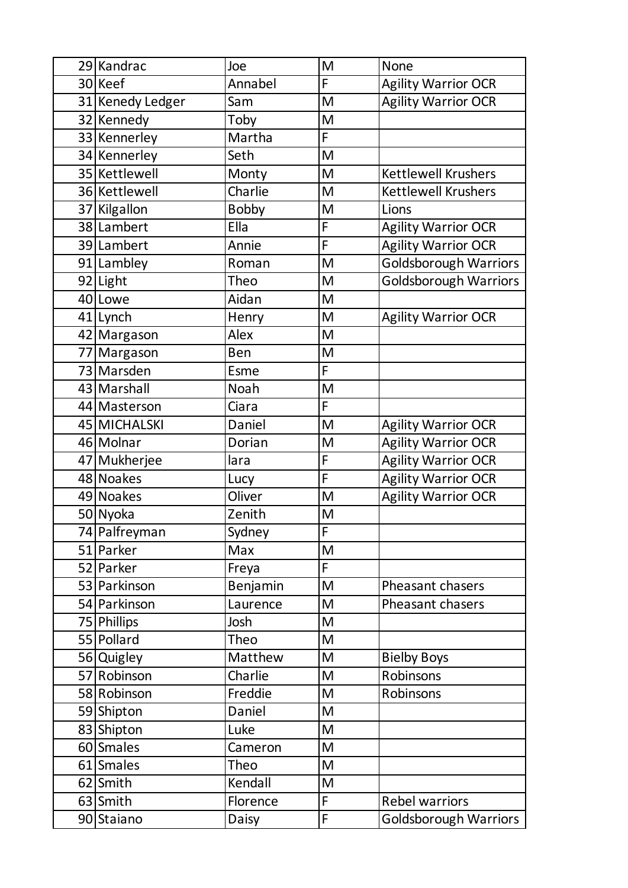| 29 Kandrac       | Joe          | M                                                                                                          | <b>None</b>                  |
|------------------|--------------|------------------------------------------------------------------------------------------------------------|------------------------------|
| 30 Keef          | Annabel      | F                                                                                                          | <b>Agility Warrior OCR</b>   |
| 31 Kenedy Ledger | Sam          | M                                                                                                          | <b>Agility Warrior OCR</b>   |
| 32 Kennedy       | Toby         | M                                                                                                          |                              |
| 33 Kennerley     | Martha       | F                                                                                                          |                              |
| 34 Kennerley     | Seth         | M                                                                                                          |                              |
| 35 Kettlewell    | Monty        | M                                                                                                          | <b>Kettlewell Krushers</b>   |
| 36 Kettlewell    | Charlie      | M                                                                                                          | <b>Kettlewell Krushers</b>   |
| 37 Kilgallon     | <b>Bobby</b> | M                                                                                                          | Lions                        |
| 38 Lambert       | Ella         | F                                                                                                          | <b>Agility Warrior OCR</b>   |
| 39 Lambert       | Annie        | F                                                                                                          | <b>Agility Warrior OCR</b>   |
| 91 Lambley       | Roman        | M                                                                                                          | <b>Goldsborough Warriors</b> |
| 92 Light         | Theo         | M                                                                                                          | Goldsborough Warriors        |
| 40 Lowe          | Aidan        | M                                                                                                          |                              |
| 41 Lynch         | Henry        | M                                                                                                          | <b>Agility Warrior OCR</b>   |
| 42 Margason      | Alex         | $\mathsf{M}% _{T}=\mathsf{M}_{T}\!\left( a,b\right) ,\ \mathsf{M}_{T}=\mathsf{M}_{T}\!\left( a,b\right) ,$ |                              |
| 77 Margason      | Ben          | M                                                                                                          |                              |
| 73 Marsden       | Esme         | F                                                                                                          |                              |
| 43 Marshall      | Noah         | M                                                                                                          |                              |
| 44 Masterson     | Ciara        | F                                                                                                          |                              |
| 45 MICHALSKI     | Daniel       | M                                                                                                          | <b>Agility Warrior OCR</b>   |
| 46 Molnar        | Dorian       | M                                                                                                          | <b>Agility Warrior OCR</b>   |
| 47 Mukherjee     | lara         | F                                                                                                          | <b>Agility Warrior OCR</b>   |
| 48 Noakes        | Lucy         | F                                                                                                          | <b>Agility Warrior OCR</b>   |
| 49 Noakes        | Oliver       | M                                                                                                          | <b>Agility Warrior OCR</b>   |
| 50 Nyoka         | Zenith       | M                                                                                                          |                              |
| 74 Palfreyman    | Sydney       | $\overline{F}$                                                                                             |                              |
| 51 Parker        | Max          | M                                                                                                          |                              |
| 52 Parker        | Freya        | F                                                                                                          |                              |
| 53 Parkinson     | Benjamin     | M                                                                                                          | Pheasant chasers             |
| 54 Parkinson     | Laurence     | M                                                                                                          | <b>Pheasant chasers</b>      |
| 75 Phillips      | Josh         | M                                                                                                          |                              |
| 55 Pollard       | Theo         | M                                                                                                          |                              |
| 56 Quigley       | Matthew      | M                                                                                                          | <b>Bielby Boys</b>           |
| 57 Robinson      | Charlie      | M                                                                                                          | Robinsons                    |
| 58 Robinson      | Freddie      | M                                                                                                          | Robinsons                    |
| 59 Shipton       | Daniel       | M                                                                                                          |                              |
| 83 Shipton       | Luke         | M                                                                                                          |                              |
| 60 Smales        | Cameron      | M                                                                                                          |                              |
| 61 Smales        | Theo         | $\mathsf{M}% _{T}=\mathsf{M}_{T}\!\left( a,b\right) ,\ \mathsf{M}_{T}=\mathsf{M}_{T}\!\left( a,b\right) ,$ |                              |
| 62 Smith         | Kendall      | M                                                                                                          |                              |
| 63 Smith         | Florence     | F                                                                                                          | <b>Rebel warriors</b>        |
| 90 Staiano       | Daisy        | F                                                                                                          | <b>Goldsborough Warriors</b> |